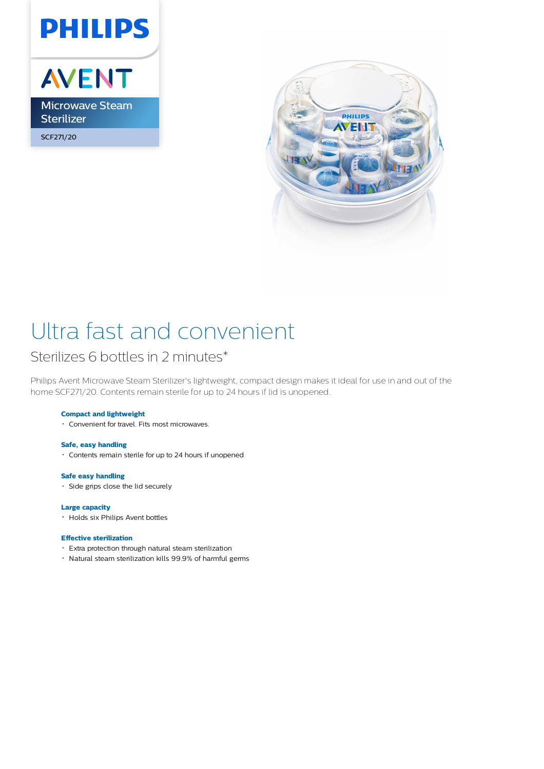

AVENT Microwave Steam **Sterilizer** SCF271/20



# Ultra fast and convenient

## Sterilizes 6 bottles in 2 minutes\*

Philips Avent Microwave Steam Sterilizer's lightweight, compact design makes it ideal for use in and out of the home SCF271/20. Contents remain sterile for up to 24 hours if lid is unopened.

### **Compact and lightweight**

Convenient for travel. Fits most microwaves.

#### **Safe, easy handling**

Contents remain sterile for up to 24 hours if unopened

#### **Safe easy handling**

Side grips close the lid securely

#### **Large capacity**

Holds six Philips Avent bottles

#### **Effective sterilization**

- Extra protection through natural steam sterilization
- Natural steam sterilization kills 99.9% of harmful germs